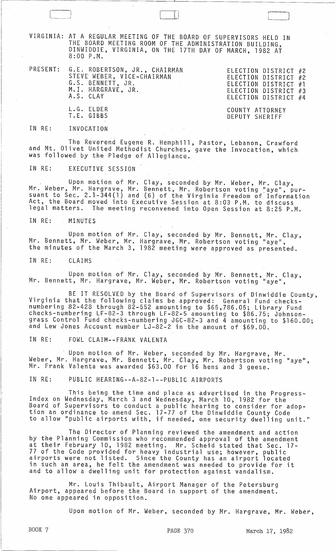VIRGINIA: AT A REGULAR MEETING OF THE BOARD OF SUPERVISORS HELD IN THE BOARD MEETING ROOM OF THE ADMINISTRATION BUILDING, DINWIDDIE, VIRGINIA, ON THE 17TH DAY OF MARCH, 1982 AT 8:00 P.M.

PRESENT: G.E. ROBERTSON, JR., CHAIRMAN STEVE WEBER, VICE-CHAIRMAN G.S. BENNETT, JR. M.I. HARGRAVE, JR. A.S. CLAY L.G. ELDER

ELECTION DISTRICT #2 ELECTION DISTRICT #2 ELECTION DISTRICT #1 ELECTION DISTRICT #3 ELECTION DISTRICT #4

'---\_J

COUNTY ATTORNEY DEPUTY SHERIFF

## IN RE: INVOCATION

The Reverend Eugene R. Hemphill, Pastor, Lebanon, Crawford and Mt. Olivet United Methodist Churches, gave the Invocation, which was followed by the Pledge of Allegiance.

IN RE: EXECUTIVE SESSION

T.E. GIBBS

. Upon motion of Mr. Clay, seconded by Mr. Weber, Mr. Clay, Mr. Weber, Mr. Hargrave, Mr. Bennett, Mr. Robertson voting "aye", pursuant to Sec. 2.1-344(1) and (6) of the Virginia Freedom of Information Act, the Board moved into Executive Session at 8:03 P.M. to discuss legal matters. The meeting reconvened into Open Session at 8:25 P.M.

IN RE: MINUTES

Upon motion of Mr. Clay, seconded by Mr. Bennett, Mr. Clay, Mr. Bennett, Mr. Weber, Mr. Hargrave, Mr. Robertson voting "aye", the minutes of the March 3, 1982 meeting were approved as presented.

IN RE: CLAIMS

Upon motion of Mr. Clay, seconded by Mr. Bennett, Mr. Clay, Mr. Bennett, Mr. Hargrave, Mr. Weber, Mr. Robertson voting "aye",

BE IT RESOLVED by the Board of Supervisors of Dinwiddie County, Virginia that the following claims be approved: General Fund checksnumbering 82-428 through 82-552 amounting to \$65,786.05; Library Fund checks-numbering LF-82-3 through LF-82-5 amounting to \$86.75; Johnsongrass Control Fund checks-numbering JGC-82-3 and 4 amounting to \$160.00; and Lew Jones Account number LJ-82-2 in the amount of \$69.00.

IN RE: FOWL CLAIM--FRANK VALENTA

Upon motion of Mr. Weber, seconded by Mr. Hargrave, Mr. Weber, Mr. Hargrave, Mr. Bennett, Mr. Clay, Mr. Robertson voting "aye", Mr. Frank Valenta was awarded \$63.00 for 16 hens and 3 geese.

IN RE: PUBLIC HEARING--A-82-1--PUBLIC AIRPORTS

This being the time and place as advertised in the Progress- Index on Wednesday, March 3 and Wednesday, March 10, 1982 for the Board of Supervisors to conduct a public hearing to consider for adoption an ordinance to, amend Sec. 17-77 of the Dinwiddie County Code to allow "public airports with, if needed, one security dwelling unit."

The Director of Planning reviewed the amendment and action by the Planning Commission who recommended approval of the amendment at their February 10, 1982 meeting. Mr. Scheid stated that Sec. 17- 77 of the Code provided for heavy industrial use; however, public airports were not listed. Since the County has an airport located in such an area, he felt the amendment was needed to provide for it and to allow a dwelling unit for protection against vandalism.

Mr. Louis Thibault, Airport Manager of the Petersburg Airport, appeared before the Board in support of the amendment. No one appeared in opposition.

Upon motion of Mr. Weber, seconded by Mr. Hargrave, Mr. Weber,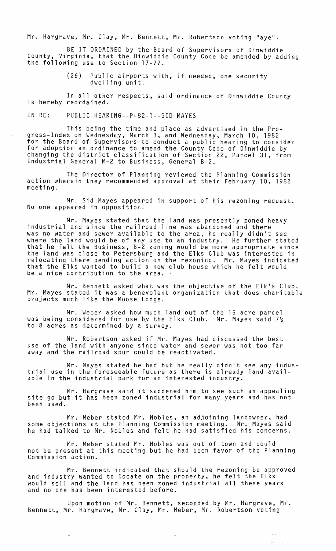Mr·. Hargrave, Mr. Clay, Mr. Bennett, Mr. Robertson voting "aye",

BE IT ORDAINED by the Board of Supervisors of Dinwiddie County, Virginia, that the Dinwiddie County Code be amended by adding<br>the following use to Section 17-77.

> (26) Public airports with, if needed, one security dwelling unit.

In all other respects, said ordinance of Dinwiddie County is hereby reordained.

IN RE: PUBLIC HEARING--P-82-1--SID MAYES

This being the time and place as advertised in the Progress-Index on Wednesday, March 3, and Wednesday, March 10, 1982 for the Board of Supervisors to conduct a public hearing to consider for adoption an ordinance to amend the County Code of Dinwiddie by changing the district classification of Section 22, Parcel 31, from Industrial General M-2 to Business, General B-2.

The Director of Planning reviewed the Planning Commission action wherein they recommended approval at their February 10, 1982 meeting.

Mr. Sid Mayes appeared in support of his rezoning request. No one appeared in opposition.

Mr. Mayes stated that the land was presently zoned heavy industrial and since the railroad line was abandoned and there was no water and sewer available to the area, he really didn't see where the land would be of any use to an industry. He further stated that he felt the Business, B-2 zoning would be more appropriate since the land was close to Petersburg and the Elks Club was interested in relocating there pending action on the rezoning. Mr. Mayes indicated that the Elks wanted to build a new club house which he felt would be a nice contribution to the area ..

Mr. Bennett asked what was the objective of the Elk's Club. Mr. Mayes stated it was a benevolent organization that does charitable projects much like the Moose Lodge.

Mr. Weber asked how much land out of the 15 acre parcel was being considered for use by the Elks Club.  $\,$  Mr. Mayes said  $7\frac{1}{2}$ to 8 acres as determined by a survey.

Mr. Robertson asked if Mr. Mayes had discussed the best use of the land with anyone since water and sewer was not too far away and the railroad spur could be reactivated.

Mr. Mayes stated he had but he really didn't see any industrial use in the foreseeable future as there is already land available in the industrial park for an interested industry.

Mr. Hargrave said it saddened him to see such an appealing site go but it has been zoned industrial for many years and has not been used.

Mr. Weber stated Mr. Nobles, an adjoining landowner, had some objections at the Planning Commission meeting. Mr. Mayes said he had talked to Mr. Nobles and felt he had satisfied his concerns.

Mr. Weber stated Mr. Nobles was out of town and could not be present at this meeting but he had been favor of the Planning Commission action.

Mr. Bennett indicated that should the rezoning be approved and industry wanted to locate on the property, he felt the Elks would sell and the land has been zoned industrial all these years and no one has been interested before.

Upon motion of Mr. Bennett, seconded by Mr. Hargrave, Mr. Bennett, Mr. Hargrave, Mr. Clay, Mr. Weber, Mr. Robertson voting

سياب

 $\sim$   $-$ 

 $\omega_{\rm{c}}/\omega_{\rm{c}}$  $\frac{1}{2}$  ,  $\frac{1}{2}$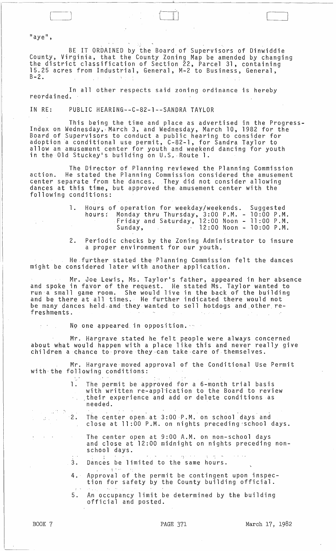$\mathsf{H}$ aye $\mathsf{H}$ ,

 $\big]$ 

BE IT ORDAINED by the Board of Supervisors of Dinwiddie County, Virginia, that the County Zoning Map be amended by changing the district classification of Section 22, Parcel 31, containing 15.25 acres from Industrial, General, M-2 to Business, General,  $B-2$ 

In all other respects said zoning ordinance is hereby reordained.

IN RE: PUBLIC HEARING--C-82-1--SANDRA TAYLOR

This being the time and place as advertised in the Progress- Index on Wednesday,l March 3, and Wednesday, March 10, 1982 for the Board of Supervisors to conduct a public hearing to consider for adoption a conditional use permit, C-82-1, for Sandra Taylor to allow an amusement center for youth and weekend dancing for youth<br>in the Old Stuckey's building on U.S. Route 1.

The Director of Planning reviewed the Planning Commission action. He stated the Planning Commission considered the amusement center separate from the dances. They did not consider allowing dances at this time, but approved the, amusement center with the following conditions:

| 1. Hours of operation for weekday/weekends. Suggested     |  |
|-----------------------------------------------------------|--|
| hours: Monday thru Thursday, 3:00 P.M. - 10:00 P.M.       |  |
| $\pm$ Friday and Saturday, 12:00 Noon - 11:00 P.M.        |  |
| $\cdot$ 12:00 Noon - 10:00 P.M.<br>Sunday, Andrew Sunday, |  |

2. Periodic checks by the Zoning Administrator to insure a proper environment for our youth.

He further stated the Planning Commission felt the dances might be considered later with another application.

Mr. Joe Lewis, Ms. Taylor's father, appeared in her absence and spoke in favor of the request. He stated Ms. Taylor wanted to run'a small game room. She would live in the back of the building and be there at all times. He further indicated there would not be many dances held and they wanted to sell hotdogs and other refreshments.

No one appeared in opposition.

Mr. Hargrave stated he felt people were always concerned about what would happen with a place like this and never really give children a chance to prove they can take care of themselves.

Mr. Hargrave moved approval of the Conditional Use Permit with the following conditions:

- .' The permit be approved for a 6-month trial basis with written re-application to the Board to review ,their experience and add or delete conditions as needed.
- .<br>2. The center open at 3:00 P.M. on school days and close at 11:00 P.M. on nights preceding school days.
	- The center open at 9:00 A.M. on non-school days and close at 12:00 midnight on nights preceding nonschool days.
- 3 .  $9^{\circ}$  " "  $\sim$  "  $3^{\circ}$ Dances be limited to the same hours.
- , 4.· Approval of the permit be contingent upon inspection for safety by the County building official.
- 5. An occupancy limit be determined by the building official and posted.

 $\mathbb{Z}^3$ 

 $\frac{1}{2}$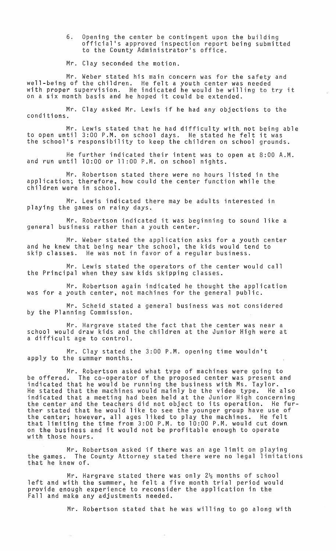6. Opening the center be contingent upon the building official's approved inspection report being submitted to the County Administrator's office.

Mr. Clay seconded the motion.

Mr. Weber stated his main concern was for the safety and well-being of the children. He felt a youth center was needed with proper supervision. He indicated he would be willing to try it on a six month basis and he hoped it could be extended.

Mr. Clay asked Mr. Lewis if he had any objections to the conditions.

Mr. Lewis stated that he had difficulty with; not being able to open until 3:00 P.M. on school days. He stated he felt it was the school's responsibility to keep the children on school grounds.

He further indicated their intent was to open at 8:00 A.M. and run until 10:00 or 11 :00 P.M. on school nights.

Mr. Robertson stated there were no hours listed in the application; therefore, how could the center function while the children were in school.

Mr. Lewis indicated there may be adults interested in playing the games on rainy days.

Mr. Robertson indicated it was beginning to sound like a general business rather than a youth center.

Mr. Weber stated the application asks for a youth center and he knew that being near the school, the kids would tend to skip classes. He was not in favor of a regular business.

Mr. Lewis stated the operators of the center would call the Principal when they saw kids skipping classes.

Mr. Robertson again indicated he thought the application was for a youth center, not machines for the general public.

Mr. Scheid stated a general business was not considered by the Planning Commission.

Mr. Hargrave stated the fact that the center was near a school would draw kids and the children at the Junior High were at a difficult age to control.

Mr. Clay stated the 3:00 P.M. opening time wouldn't apply to the summer months.

Mr. Robertson asked what type of machines were going to be offered. The co-operator of the proposed center was present and indicated that he would be running the business with Ms. Taylor. He stated that the machines would mainly be the video type. He also indicated that a meeting had been held at the Junior High concerning<br>the center and the teachers did not object to its operation. He further stated that he would like to see the younger group have use of the center; however, all ages liked to play the machines. He felt that limiting the time from 3:00 P.M. to 10:00 P.M. would cut down. on the business and it would not be profitable enough to operate with those hours.

Mr. Robertson asked if there was an age limit on playing the games. The County Attorney stated there were no legal limitations that he knew of.

Mr. Hargrave stated there was only  $2\frac{1}{2}$  months of school left and with the summer, he felt a five month trial period would provide enough experience to reconsider the application in the Fall and make any adjustments needed.

Mr. Robertson stated that he was willing to go along with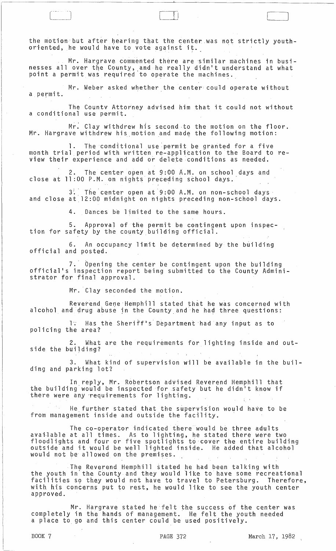the motion but after hearing that the center was not strictly youth-<br>oriented, he would have to vote against it.

 $\mathbb I$  -l

 $\Box$ 

Mr. Hargrave commented there are similar machines in businesses all over the County, and he really didn't understand at what point a permit was required to operate the machines. $\overline{\phantom{a}}$ 

Mr. Weber asked whether the center could operate without a permit.

The *Countv* Attofney advised him that it could not without a conditional use permit.

Mr. Clay withdrew his second to the motion on the floor. Mr. Hargrave withdrew his motion and made the following motion:

1. The conditional use permit be granted for a five month trial period with written re-application to the Board to review their experience and add or delete conditions as needed.

2. The center open at 9:00 A.M. on school days and  $\,$  close at 11:00 P.M. on nights preceding school days.  $\,$ 

 $3\cdot$  The center open at 9:00 A.M. on non-school days and close at.12:00 midnight on nights preceding non-school days.

4. Dances be limited to the same hours.

5. Approval of the permit be contingent upon inspec- tion for safety by the county building official.

6. An occupancy limit be determined by the building official and posted.

7.' Opening the center be contingent upon the building official's inspection report being submitted to the County Administrator for final approval.

Mr. Clay seconded the motion.

Reverend Gene Hemphill stated that he was concerned with alcohol and drug abuse in the County and he had three questions:

1. Has the Sheriff's Department had any input as to policing the area?

2. What are the requirements for lighting inside and outside the building?

3. What kind of supervision will be available in the building and parking lot?

In reply, Mr. Robertson advised Reverend Hemphill that the building would be inspected for safety but he didn't know if there were any requirements for lighting.

He further stated that the supervision would have to be from management inside and outside the facility.

The co-operator indicated there would be three adults avai·lable at all times. As to lighting, he stated there were two floodlights and four or five spotlights to cover the entire building outside and it would be well lighted inside. He added that alcohol would not be allowed on the premises.

The Reverend Hemphill stated he had been talking with the youth in"the County and they would like to have some recreational end youth in the obdirey and they would like to have some recreational with his concerns put to rest, he would like to see the youth center approved. .

Mr. Hargrave stated he'felt the success of the center was completely in the hands of management. He felt the youth needed a place to go and this center could be used positively.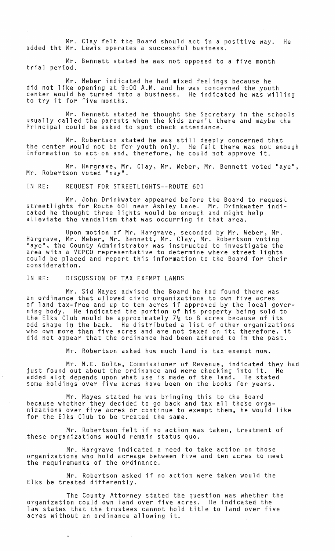Mr. Clay felt the Board should act in a positive way. He added tht Mr. Lewis operates a successful business.

Mr. Bennett stated he was not opposed to a *five* month trial period.

Mr. Weber indicated he had mixed feelings because he did not like opening at 9:00 A.M. and he was concerned the youth center would be turned into a business. He indicated he was willing to try it for *five* months.

Mr. Bennett stated he thought the Secretary in the schools usually called the parents when the kids aren't there and maybe the Principal could be asked to spot check attendance.

Mr. Robertson stated he was still deeply concerned that the center would not be for youth only. He felt there was not enough information to act on and, therefore, he could not approve it.

Mr. Hargrave, Mr. Clay, Mr. Weber, Mr. Bennett *voted* "aye", Mr. Robertson *voted* "nay".

IN RE: REQUEST FOR STREETLIGHTS--ROUTE 601

Mr. John Drinkwater appeared before the Board to request streetlights for Route 601 near Ashley Lane. cated he thought three lights would be enough alleviate the vandalism that was occurring in Mr. Drinkwater indiand might help<br>that area.

Upon motion of Mr. Hargrave, seconded by Mr. Weber, Mr. Hargrave, Mr. Weber, Mr. Bennett, Mr. Clay, Mr. Robertson *voting*  "aye", the County Administrator was instructed to investigate the area with a VEPCO representative to determine where street lights<br>could be placed and report this information to the Board for their could be placed and report this information to the Board for their<br>consideration.

IN RE: DISCUSSION OF TAX EXEMPT LANDS

 $\frac{1}{2} \frac{1}{2} \left( \frac{1}{2} \right)^2$ 

Mr. Sid Mayes advised the Board he had found there was an ordinance that allowed civic organizations to own five acres of land tax-free and up to ten acres if approved by the local governing body. He indicated the portion of his property being sold to the Elks Club would be approximately  $7\frac{1}{2}$  to 8 acres because of its odd shape in the back. He distributed a list of other organizations who own more than five acres and are not taxed on it; therefore, it did not appear that the ordinance had been adhered to in the past.

Mr. Robertson asked how much land is tax exempt now.

Mr. W.E. Bolte, Commissioner of Revenue, indicated they had just found out about the ordinance and were checking into it. He added alot depends upon what use is made of the land. He stated some holdings over five acres have been on the books for years.

Mr. Mayes stated he was bringing this to the Board because whether they decided to go back and tax all these organizations *over five* acres or continue to exempt them, he would like for the Elks Club to be treated the same.

Mr. Robertson felt if no action was taken, treatment of .these organizations would remain status quo.

Mr. Hargrave indicated a need to take action on those organizations who hold acreage between *five* and ten acres to meet the requirements of the ordinance.

Mr. Robertson asked if no action were taken would the Elks be treated differently.

The County Attorney stated the question was whether the organization could own land *over five* acres. He indicated the law states that the trustees cannot hold title to land over five acres without an ordinance allowing it.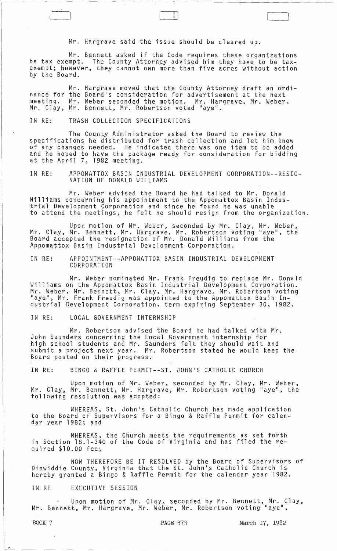Mr. Hargrave said the issue should be cleared up.

 $\Box$ 

Mr. Bennett asked if the Code requires these organizations be tax exempt. The County Attorney advised him they have to be taxexempt; however, they cannot own more than five acres without action by the Board.

nance for the Board's consideration for advertisement at the next meeting. Mr. Clay, Mr. Bennett, Mr. Robertson voted "aye". Mr. Hargrave moved that the County Attorney draft an ordi-Mr. Weber seconded the motion. Mr. Hargrave, Mr. Weber,

#### IN RE: TRASH COLLECTION SPECIFICATIONS

The County Administrator asked the Board to review the specifications he distributed for trash collection and let him know of any changes needed. He indicated there was one item to be added and he hoped to have the package ready for consideration for bidding at the April 7, 1982 meeting.

IN RE: APPOMATTOX BASIN INDUSTRIAL DEVELOPMENT CORPORATION--RESIG-NATION OF DONALD WILLIAMS

Mr. Weber advised the Board he had talked to Mr. Donald Williams concerning his appointment to the Appomattox Basin Industrial Development Corporation and since he found he was unable to attend the meetings, he felt he should resign from the organization.

Upon motion of Mr. Weber, seconded by Mr. Clay, Mr. Weber, Mr. Clay, Mr. Bennett, Mr. Hargrave, Mr. Robertson voting "aye", the Board accepted the resignation of Mr. Donald Williams from the Appomattox Basin Industrial Development Corporation.

## IN RE: APPOJNTMENT--APPOMATTOX BASIN INDUSTRIAL DEVELOPMENT CORPORATION

Mr. Weber nominated Mr. Frank Freudig to replace Mr. Donald Williams on the Appomattox Basin Industrial Development Corporation. Milliams on the Appomatiox Basin Industrial Development corporation.<br>Mr. Weber, Mr. Bennett, Mr. Clay, Mr. Hargrave, Mr. Robertson voting "aye", Mr. Frank Freudig was appointed to the Appomattox Basin Industrial Development Corporation, term expiring September 30, 1982.

IN RE: LOCAL GOVERNMENT INTERNSHIP

Mr. Robertson advised the Board he had talked with Mr. John Saunders concerning the Local Government internship for high school students and Mr. Saunders felt they should wait and submit a project next year. Mr. Robertson stated he would keep the Board posted on their progress.

IN RE: BINGO & RAFFLE PERMIT--ST. JOHN'S CATHOLIC CHURCH

Upon motion of Mr. Weber, seconded by Mr. Clay, Mr. Weber, Mr. Clay, Mr. Bennett, Mr. Hargrave, Mr. Robertson voting "aye", the following resolution was adopted:

WHEREAS, St. John's Catholic Church has made application to the Board of Supervisors for a Bingo & Raffle Permit for calendar year 1982; and

WHEREAS, the Church meets the requirements as set forth in Section 18.1-340 of the Code of Virginia and has filed the required \$10.00 fee;

NOW THEREFORE BE IT RESOLVED by the Board of Supervisors of Dinwiddie County, Virginia that the St. John's Catholic Church is hereby granted a Bingo & Raffle Permit for the calendar year 1982.

#### IN RE EXECUTIVE SESSION

Upon motion of Mr. Clay, seconded by Mr. Bennett, Mr. Clay, Mr. Bennett, Mr. Hargrave, Mr. Weber, Mr. Robertson voting "aye",

BOOK 7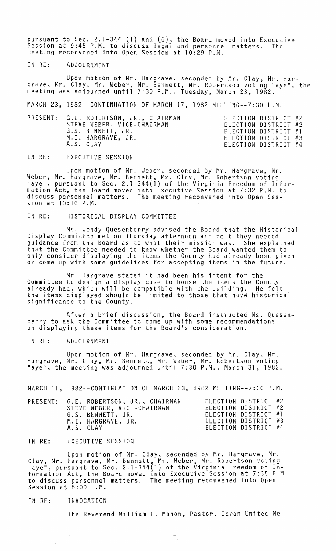pursuant to Sec. 2.1-344 (1) and (6), the Board moved into Executive Session at 9:45 P.M. to discuss legal and personnel matters. The meeting reconvened into Open Session at 10:29 P.M.

# IN RE: ADJOURNMENT

Upon motion of Mr. Hargrave, seconded by Mr. Clay, Mr. Hargrave, Mr. Clay, Mr. Weber, Mr. Bennett, Mr. Robertson voting "aye", the meeting was adjourned until 7:30 P.M., Tuesday, March 23, 1982.

MARCH 23, 1982--CONTINUATION OF MARCH 17, 1982 MEETING--7:30 P.M.

| PRESENT: G.E. ROBERTSON, JR., CHAIRMAN<br>STEVE WEBER, VICE-CHAIRMAN<br>G.S. BENNETT, JR.<br>M.I. HARGRAVE, JR. | ELECTION DISTRICT #2<br>ELECTION DISTRICT #2<br>ELECTION DISTRICT #1<br>ELECTION DISTRICT #3 |  |
|-----------------------------------------------------------------------------------------------------------------|----------------------------------------------------------------------------------------------|--|
| A.S. CLAY                                                                                                       | ELECTION DISTRICT #4                                                                         |  |

IN RE: EXECUTIVE SESSION

Upon motion of Mr. Weber, seconded by Mr. Hargrave, Mr. Weber, Mr. Hargrave, Mr. Bennett, Mr. Clay, Mr. Robertson voting "aye", pursuant to Sec. 2.1-344(1) of the Virginia Freedom of Information Act, the Board moved into Executive Session at 7:32 P.M. to discuss personnel matters. The meeting reconvened into Open Session at 10:10 P.M.

IN RE: HISTORICAL DISPLAY COMMITTEE

Ms. Wendy Quesenberry advised the Board that the Historical Display Committee met on Thursday afternoon and felt they needed guidance from the Board as to what their mission was. She explained that the Committee needed to know whether the Board wanted them to only consider displaying the items the County had already been given or come up with some guidelines for accepting items in the future.

Mr. Hargrave stated it had been his intent for the Committee to design a display case to house the items the County already had, which will be compatible with the building. He felt the items displayed should be limited to those that have historical significance to the County.

After a brief discussion, the Board instructed Ms. Quesenberry to ask the Committee to come up with some recommendations on displaying these items for the Board's consideration.

IN RE: ADJOURNMENT

Upon motion of Mr. Hargrave, seconded by Mr. Clay, Mr. Hargrave, Mr. Clay, Mr. Bennett, Mr. Weber, Mr. Robertson voting "aye", the meeting was adjourned until 7:30 P.M., March 31,1982.

MARCH 31, 1982--CONTINUATION OF MARCH 23, 1982 MEETING--7:30 P.M.

| PRESENT: G.E. ROBERTSON, JR., CHAIRMAN | ELECTION DISTRICT #2 |  |
|----------------------------------------|----------------------|--|
| STEVE WEBER, VICE-CHAIRMAN             | ELECTION DISTRICT #2 |  |
| G.S. BENNETT, JR.                      | ELECTION DISTRICT #1 |  |
| M.I. HARGRAVE, JR.                     | ELECTION DISTRICT #3 |  |
| A.S. CLAY                              | ELECTION DISTRICT #4 |  |

### IN RE: EXECUTIVE SESSION

Upon motion of Mr. Clay, seconded by Mr. Hargrave, Mr. Clay, Mr. Hargrave, Mr. Bennett, Mr. Weber, Mr. Robertson voting "aye", pursuant to Sec. 2.1-344(1) of the Virginia Freedom of Information Act, the Board moved into Executive Session at 7:35 P.M. to discuss'personnel matters. The meeting reconvened into Open Session at 8:00 P.M.

IN RE: INVOCATION

The Reverend William F. Mahon, Pastor, Ocran United Me-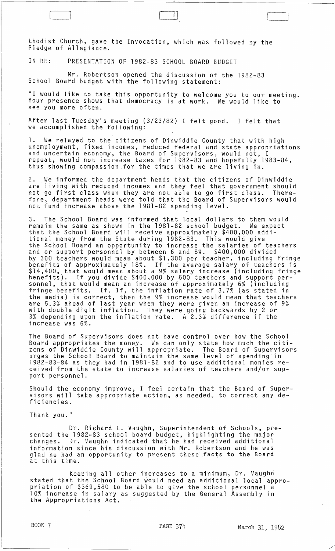thodist Church, gave the Invocation, which was followed by the Pledge of Allegiance.

IN RE: PRESENTATION OF 1982-83 SCHOOL BOARD BUDGET

L~

Mr. Robertson opened the discussion of the 1982-83 School Board budget with the following statement:

"I would like to take this opportunity to welcome you to our meeting. Your presence shows that democracy is at work. We would like to see you more often.

After last Tuesday's meeting (3/23/82) I felt good. I felt that we accomplished the following:

1. We relayed to the citizens of Dinwiddie County that with high unemployment, fixed incomes, reduced federal and state appropriations<br>and uncertain economy, the Board of Supervisors, would not, I repeat, would not increase taxes for 1982-83 and hopefully 1983-84, thus showing compassion for the times that we are living in.

2. We informed the department heads that the citizens of Dinwiddie are living with reduced incomes and they feel that government should not go first class when they are not able to go first class. Therefore, department heads were told that the Board of Supervisors would not fund increase above the 1981-82 spending level.

3. The School Board was informed that local dollars to them would remain the same as shown in the 1981-82 school budget. We expect that the School Board will receive approximately \$400,000 additional money from the State during 1982-83. This would give<br>the School Board an opportunity to increase the salaries of teachers and or support personnel by between 6 and 8%. \$400,000 divided by 300 teachers would mean about \$1,300 per teacher, including fringe<br>benefits of approximately 18%. If the average salary of teachers is \$14,400, that would mean about a 9% salary increase (including fringe benefits). If you divide \$400,000 by 500 teachers and support per- sonnel, that would mean an increase of approximately 6% {including fringe benefits. If. If, the inflation rate of 3.7% (as stated in the media) is correct, then the 9% increase would mean that teachers are 5.3% ahead of last year when they were given an increase of 9% with double digit inflation. They were going backwards by 2 or 3% depending upon the inflation rate. A 2.3% difference if the increase was 6%.

The Board of Supervisors does not have control over how the School Board appropriates the money. We can only state how much the citizens of Dinwiddie County will appropriate. The Board of Supervisors urges the School Board to maintain the same level of spending' in 1982-83-84 as they had in 1981-82 and to use additional monies received from the state to increase salaries of teachers and/or support personnel.

Should the economy improve, I feel certain that the Board of Supervisors will take appropriate action, as needed, to correct any deficiencies.

Thank you."

Dr. Richard L. Vaughn, Superintendent of Schools, presented the 1982-83 school board budget, highlighting the major changes. Dr. Vaughn indicated that he had received additional information since his discussion with Mr. Robertson and he was glad he had an opportunity to present these facts to the Board at this time.

Keeping all other increases to a minimum, Dr. Vaughri stated that the School Board would need an additional local appropriation of \$369,580 to be able to give the school personnel a 10% increase in salary as .suggested by the General Assembly in the Appropriations Act.

 $\mathbf{I}$